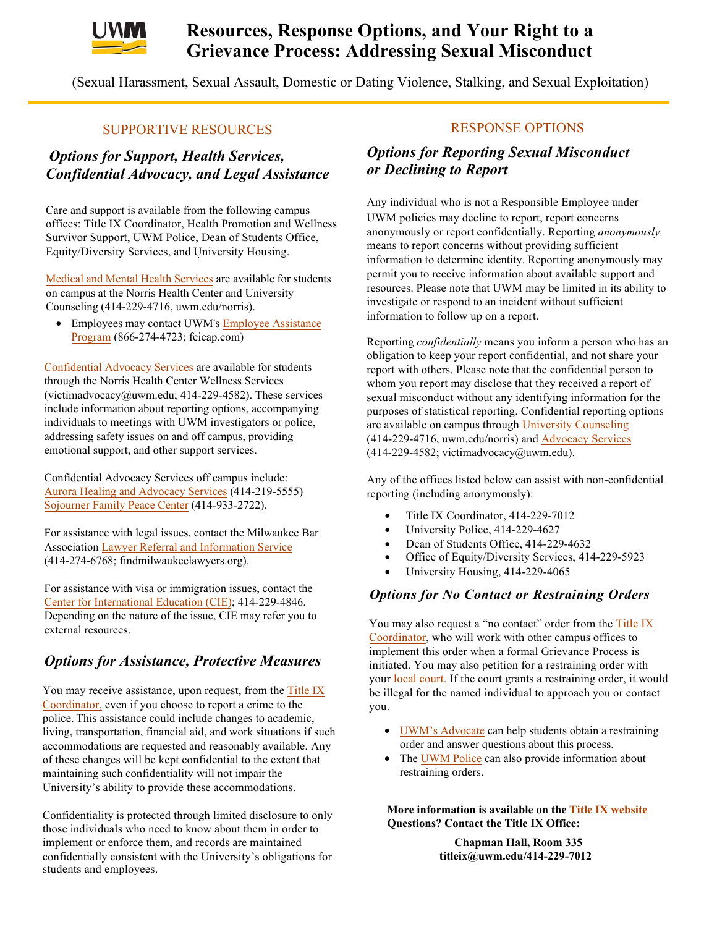

# **Resources, Response Options, and Your Right to a Grievance Process: Addressing Sexual Misconduct**

(Sexual Harassment, Sexual Assault, Domestic or Dating Violence, Stalking, and Sexual Exploitation)

### SUPPORTIVE RESOURCES

## *Options for Support, Health Services, Confidential Advocacy, and Legal Assistance*

Care and support is available from the following campus offices: Title IX Coordinator, Health Promotion and Wellness Survivor Support, UWM Police, Dean of Students Office, Equity/Diversity Services, and University Housing.

Medical and Mental Health Services are available for students on campus at the Norris Health Center and University Counseling (414-229-4716, uwm.edu/norris).

• Employees may contact UWM's Employee Assistance Program (866-274-4723; [feieap.com\)](https://feieap.com)

[Confidential Advocacy Services a](https://uwm.edu/norris/health-services/sexual-violence-services/)re available for students through the Norris Health Center Wellness Services (victimadvocacy@uwm.edu; 414-229-4582). These services include information about reporting options, accompanying individuals to meetings with UWM investigators or police, addressing safety issues on and off campus, providing emotional support, and other support services.

Confidential Advocacy Services off campus include: [Aurora Healing and Advocacy Services](https://www.aurorahealthcare.org/healing-advocacy-services) (414-219-5555) [Sojourner Family Peace Center](https://www.familypeacecenter.org/) (414-933-2722).

For assistance with legal issues, contact the Milwaukee Bar Association [Lawyer Referral and Information Service](https://findmilwaukeelawyers.org/) (414-274-6768; findmilwaukeelawyers.org).

For assistance with visa or immigration issues, contact the [Center for International Education \(CIE\); 4](https://uwm.edu/cie/)14-229-4846. Depending on the nature of the issue, CIE may refer you to external resources.

## *Options for Assistance, Protective Measures*

You may receive assistance, upon request, from the Title IX police. This assistance could include changes to academic, Coordinator, even if you choose to report a crime to the living, transportation, financial aid, and work situations if such accommodations are requested and reasonably available. Any of these changes will be kept confidential to the extent that maintaining such confidentiality will not impair the University's ability to provide these accommodations.

Confidentiality is protected through limited disclosure to only those individuals who need to know about them in order to implement or enforce them, and records are maintained confidentially consistent with the University's obligations for students and employees.

#### RESPONSE OPTIONS

### *Options for Reporting Sexual Misconduct or Declining to Report*

 UWM policies may decline to report, report concerns Any individual who is not a Responsible Employee under anonymously or report confidentially. Reporting *anonymously*  means to report concerns without providing sufficient information to determine identity. Reporting anonymously may permit you to receive information about available support and resources. Please note that UWM may be limited in its ability to investigate or respond to an incident without sufficient information to follow up on a report.

 Reporting *confidentially* means you inform a person who has an obligation to keep your report confidential, and not share your report with others. Please note that the confidential person to whom you report may disclose that they received a report of sexual misconduct without any identifying information for the purposes of statistical reporting. Confidential reporting options are available on campus through University Counseling (414-229-4716, uwm.edu/norris) and Advocacy Services  $(414-229-4582;$  victimadvocacy $@$ uwm.edu).

Any of the offices listed below can assist with non-confidential<br>magnetics (including anomaly produced) reporting (including anonymously):

- Title IX Coordinator, 414-229-7012
- University Police, 414-229-4627
- Dean of Students Office, 414-229-4632
- Office of Equity/Diversity Services, 414-229-5923
- University Housing, 414-229-4065

#### *Options for No Contact or Restraining Orders*

implement this order when a formal Grievance Process is  be illegal for the named individual to approach you or contact You may also request a "no contact" order from the Title IX Coordinator, who will work with other campus offices to initiated. You may also petition for a restraining order with your local court. If the court grants a restraining order, it would you.

- • UWM's Advocate can help students obtain a restraining order and answer questions about this process.
- The UWM Police can also provide information about restraining orders.

**More information is available on the Title IX website Questions? Contact the Title IX Office:** 

> **Chapman Hall, Room 335 titleix@uwm.edu/414-229-7012**